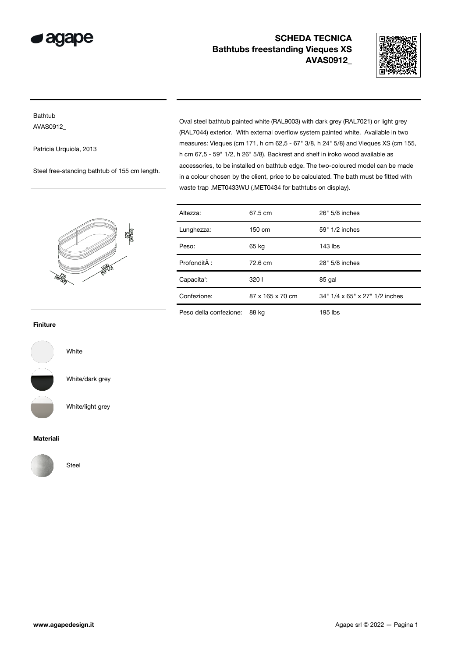



### Bathtub AVAS0912\_

Patricia Urquiola, 2013

Steel free-standing bathtub of 155 cm length.

Oval steel bathtub painted white (RAL9003) with dark grey (RAL7021) or light grey (RAL7044) exterior. With external overflow system painted white. Available in two measures: Vieques (cm 171, h cm 62,5 - 67" 3/8, h 24" 5/8) and Vieques XS (cm 155, h cm 67,5 - 59" 1/2, h 26" 5/8). Backrest and shelf in iroko wood available as accessories, to be installed on bathtub edge. The two-coloured model can be made in a colour chosen by the client, price to be calculated. The bath must be fitted with waste trap .MET0433WU (.MET0434 for bathtubs on display).

|             |                 | 675<br>(26°508) |
|-------------|-----------------|-----------------|
| <b>RBSB</b> | <b>1509-121</b> |                 |

| Altezza:               | 67.5 cm          | 26" 5/8 inches                 |
|------------------------|------------------|--------------------------------|
| Lunghezza:             | 150 cm           | 59" 1/2 inches                 |
| Peso:                  | 65 kg            | 143 lbs                        |
| Profondità :           | 72.6 cm          | 28" 5/8 inches                 |
| Capacita':             | 3201             | 85 gal                         |
| Confezione:            | 87 x 165 x 70 cm | 34" 1/4 x 65" x 27" 1/2 inches |
| Peso della confezione: | 88 kg            | 195 lbs                        |

### Finiture



White/dark grey

Steel

White

White/light grey

#### Materiali

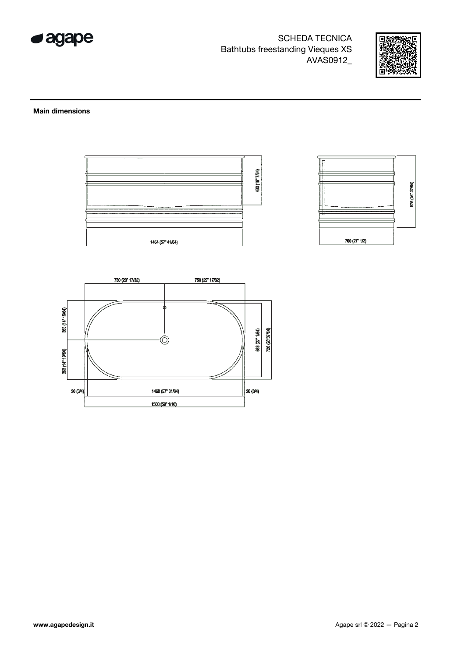



#### **Main dimensions**



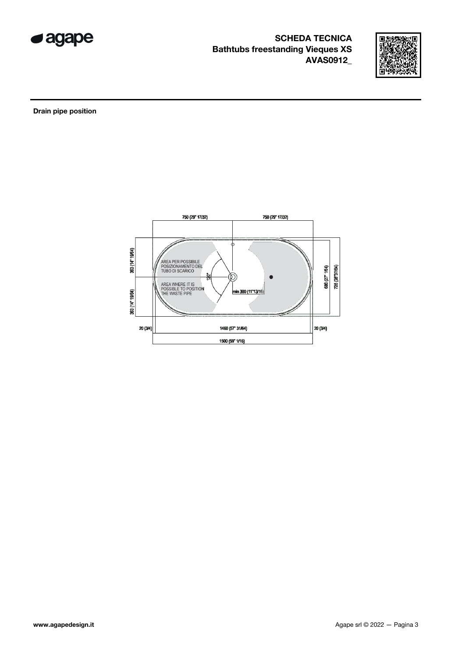



Drain pipe position

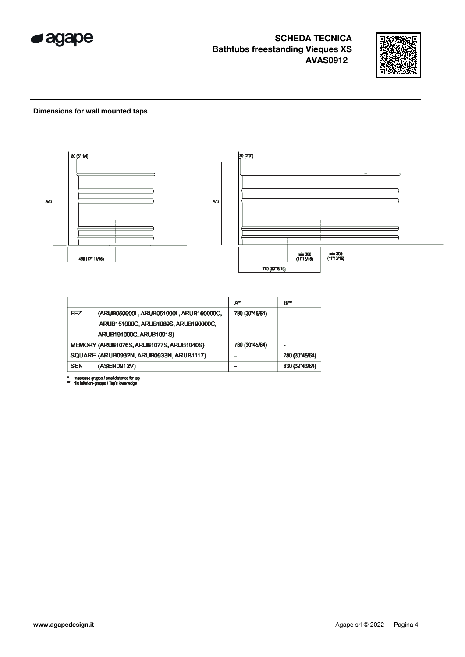



### Dimensions for wall mounted taps



|            |                                          | A*             | B**            |
|------------|------------------------------------------|----------------|----------------|
| FEZ        | (ARUB050000L, ARUB051000L, ARUB150000C,  | 780 (30"45/64) |                |
|            | ARUB151000C, ARUB1089S, ARUB190000C,     |                |                |
|            | ARUB191000C, ARUB1091S)                  |                |                |
|            | MEMORY (ARUB1076S, ARUB1077S, ARUB1040S) | 780 (30"45/64) |                |
|            | SQUARE (ARUB0932N, ARUB0933N, ARUB1117)  |                | 780 (30"45/64) |
| <b>SEN</b> | (ASEN0912V)                              |                | 830 (32"43/64) |

\* inserasse gruppo / axial distance for tap<br>\*\* filo inferiore gruppo / Tap's lower edge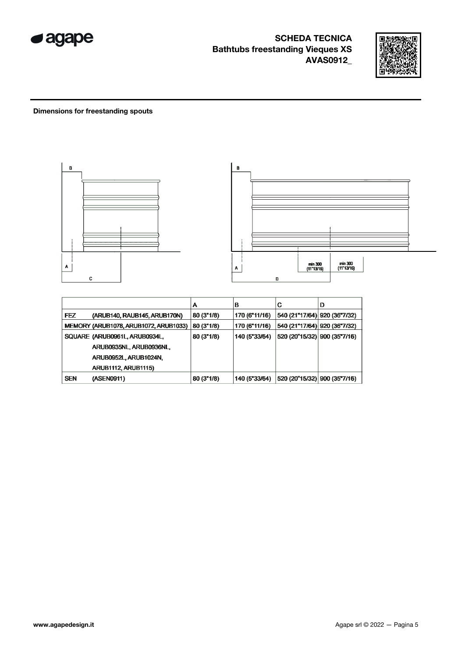



### **Dimensions for freestanding spouts**



|            |                                       | А          | в             | С                             | D |
|------------|---------------------------------------|------------|---------------|-------------------------------|---|
| <b>FEZ</b> | (ARUB140, RAUB145, ARUB170N)          | 80 (3"1/8) | 170 (6"11/16) | 540 (21"17/64) 920 (36"7/32)  |   |
|            | MEMORY (ARUB1078, ARUB1072, ARUB1033) | 80 (3"1/8) | 170 (6"11/16) | 540 (21"17/64)  920 (36"7/32) |   |
|            | SQUARE (ARUB0961L, ARUB0934L,         | 80 (3"1/8) | 140 (5"33/64) | 520 (20"15/32) 900 (35"7/16)  |   |
|            | ARUB0935NL, ARUB0936NL,               |            |               |                               |   |
|            | ARUB0952L, ARUB1024N,                 |            |               |                               |   |
|            | <b>ARUB1112, ARUB1115)</b>            |            |               |                               |   |
| <b>SEN</b> | (ASEN0911)                            | 80(3"1/8)  | 140 (5"33/64) | 520 (20"15/32) 900 (35"7/16)  |   |